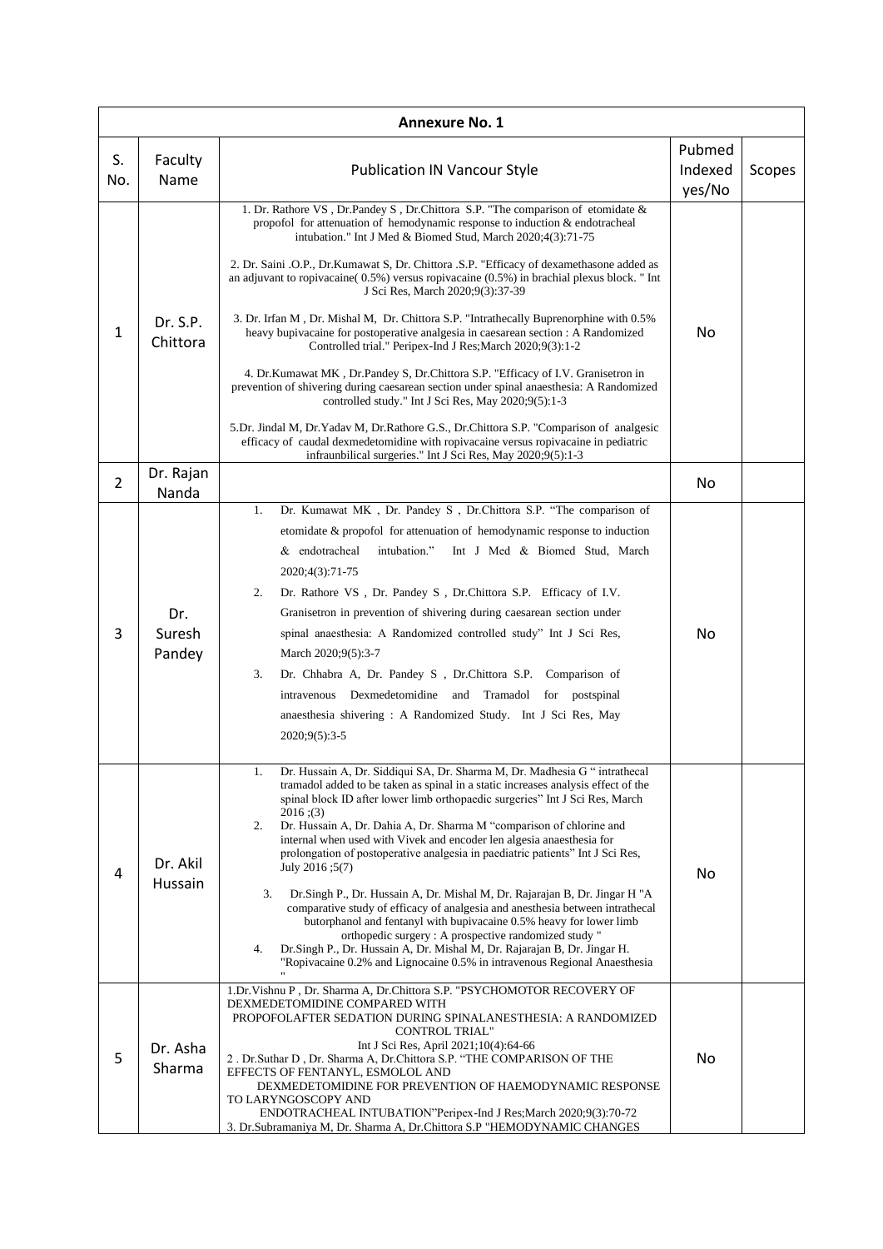| <b>Annexure No. 1</b> |                         |                                                                                                                                                                                                                                                                                                                                                                                                                                                                                                                                                                                                                                                                                                                                                                                                                                                                                                                                                                                                                                                                                                                                                                                                             |                             |        |  |  |  |  |
|-----------------------|-------------------------|-------------------------------------------------------------------------------------------------------------------------------------------------------------------------------------------------------------------------------------------------------------------------------------------------------------------------------------------------------------------------------------------------------------------------------------------------------------------------------------------------------------------------------------------------------------------------------------------------------------------------------------------------------------------------------------------------------------------------------------------------------------------------------------------------------------------------------------------------------------------------------------------------------------------------------------------------------------------------------------------------------------------------------------------------------------------------------------------------------------------------------------------------------------------------------------------------------------|-----------------------------|--------|--|--|--|--|
| S.<br>No.             | Faculty<br>Name         | <b>Publication IN Vancour Style</b>                                                                                                                                                                                                                                                                                                                                                                                                                                                                                                                                                                                                                                                                                                                                                                                                                                                                                                                                                                                                                                                                                                                                                                         | Pubmed<br>Indexed<br>yes/No | Scopes |  |  |  |  |
| $\mathbf{1}$          | Dr. S.P.<br>Chittora    | 1. Dr. Rathore VS , Dr.Pandey S , Dr.Chittora S.P. "The comparison of etomidate &<br>propofol for attenuation of hemodynamic response to induction $\&$ endotracheal<br>intubation." Int J Med & Biomed Stud, March 2020;4(3):71-75<br>2. Dr. Saini .O.P., Dr. Kumawat S, Dr. Chittora .S.P. "Efficacy of dexamethasone added as<br>an adjuvant to ropivacaine $(0.5\%)$ versus ropivacaine $(0.5\%)$ in brachial plexus block. "Int<br>J Sci Res, March 2020;9(3):37-39<br>3. Dr. Irfan M, Dr. Mishal M, Dr. Chittora S.P. "Intrathecally Buprenorphine with 0.5%<br>heavy bupivacaine for postoperative analgesia in caesarean section : A Randomized<br>Controlled trial." Peripex-Ind J Res; March 2020; 9(3):1-2<br>4. Dr.Kumawat MK, Dr.Pandey S, Dr.Chittora S.P. "Efficacy of I.V. Granisetron in<br>prevention of shivering during caesarean section under spinal anaesthesia: A Randomized<br>controlled study." Int J Sci Res, May 2020;9(5):1-3<br>5.Dr. Jindal M, Dr.Yadav M, Dr.Rathore G.S., Dr.Chittora S.P. "Comparison of analgesic<br>efficacy of caudal dexmedetomidine with ropivacaine versus ropivacaine in pediatric<br>infraunbilical surgeries." Int J Sci Res, May 2020;9(5):1-3 | No                          |        |  |  |  |  |
| $\overline{2}$        | Dr. Rajan<br>Nanda      |                                                                                                                                                                                                                                                                                                                                                                                                                                                                                                                                                                                                                                                                                                                                                                                                                                                                                                                                                                                                                                                                                                                                                                                                             | No                          |        |  |  |  |  |
| 3                     | Dr.<br>Suresh<br>Pandey | Dr. Kumawat MK , Dr. Pandey S , Dr. Chittora S.P. "The comparison of<br>1.<br>etomidate & propofol for attenuation of hemodynamic response to induction<br>& endotracheal<br>intubation."<br>Int J Med & Biomed Stud, March<br>2020;4(3):71-75<br>2.<br>Dr. Rathore VS, Dr. Pandey S, Dr. Chittora S.P. Efficacy of I.V.<br>Granisetron in prevention of shivering during caesarean section under<br>spinal anaesthesia: A Randomized controlled study" Int J Sci Res,<br>March 2020;9(5):3-7<br>3.<br>Dr. Chhabra A, Dr. Pandey S , Dr. Chittora S.P. Comparison of<br>intravenous Dexmedetomidine and Tramadol for<br>postspinal<br>anaesthesia shivering: A Randomized Study. Int J Sci Res, May<br>$2020;9(5):3-5$                                                                                                                                                                                                                                                                                                                                                                                                                                                                                      | No                          |        |  |  |  |  |
| 4                     | Dr. Akil<br>Hussain     | Dr. Hussain A, Dr. Siddiqui SA, Dr. Sharma M, Dr. Madhesia G "intrathecal<br>I.<br>tramadol added to be taken as spinal in a static increases analysis effect of the<br>spinal block ID after lower limb orthopaedic surgeries" Int J Sci Res, March<br>$2016$ ; (3)<br>Dr. Hussain A, Dr. Dahia A, Dr. Sharma M "comparison of chlorine and<br>2.<br>internal when used with Vivek and encoder len algesia anaesthesia for<br>prolongation of postoperative analgesia in paediatric patients" Int J Sci Res,<br>July 2016 ;5(7)<br>Dr. Singh P., Dr. Hussain A, Dr. Mishal M, Dr. Rajarajan B, Dr. Jingar H "A<br>3.<br>comparative study of efficacy of analgesia and anesthesia between intrathecal<br>butorphanol and fentanyl with bupivacaine 0.5% heavy for lower limb<br>orthopedic surgery: A prospective randomized study "<br>Dr.Singh P., Dr. Hussain A, Dr. Mishal M, Dr. Rajarajan B, Dr. Jingar H.<br>4.<br>"Ropivacaine 0.2% and Lignocaine 0.5% in intravenous Regional Anaesthesia                                                                                                                                                                                                        | No                          |        |  |  |  |  |
| 5                     | Dr. Asha<br>Sharma      | 1.Dr.Vishnu P, Dr. Sharma A, Dr.Chittora S.P. "PSYCHOMOTOR RECOVERY OF<br>DEXMEDETOMIDINE COMPARED WITH<br>PROPOFOLAFTER SEDATION DURING SPINALANESTHESIA: A RANDOMIZED<br><b>CONTROL TRIAL"</b><br>Int J Sci Res, April 2021;10(4):64-66<br>2. Dr. Suthar D, Dr. Sharma A, Dr. Chittora S.P. "THE COMPARISON OF THE<br>EFFECTS OF FENTANYL, ESMOLOL AND<br>DEXMEDETOMIDINE FOR PREVENTION OF HAEMODYNAMIC RESPONSE<br>TO LARYNGOSCOPY AND<br>ENDOTRACHEAL INTUBATION"Peripex-Ind J Res; March 2020;9(3):70-72<br>3. Dr. Subramaniya M, Dr. Sharma A, Dr. Chittora S.P "HEMODYNAMIC CHANGES                                                                                                                                                                                                                                                                                                                                                                                                                                                                                                                                                                                                                 | No                          |        |  |  |  |  |